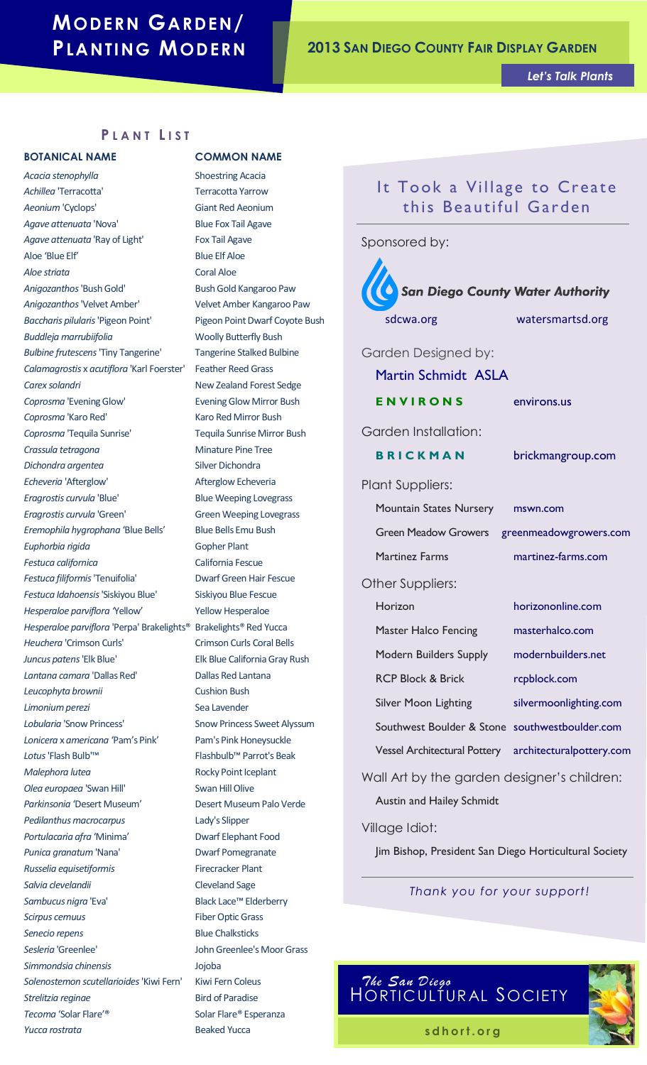# **MODERN GARDEN/**

# **PLANTING MODERN <sup>2013</sup> <sup>S</sup>AN DIEGO <sup>C</sup>OUNTY FAIR DISPLAY GARDEN**

*Let's Talk Plants*

### **P L A N T L I S T**

*Acacia stenophylla* Shoestring Acacia Achillea 'Terracotta' Terracotta Yarrow **Aeonium 'Cyclops'** Giant Red Aeonium Agave attenuata 'Nova' Blue Fox Tail Agave Agave attenuata 'Ray of Light' Fox Tail Agave Aloe 'Blue Elf' Blue Elf Aloe *Aloe striata* Coral Aloe Anigozanthos 'Bush Gold' Bush Gold Kangaroo Paw *Anigozanthos* 'Velvet Amber' Velvet Amber Kangaroo Paw *Baccharis pilularis* 'Pigeon Point' Pigeon Point Dwarf Coyote Bush **Buddleja marrubiifolia** Woolly Butterfly Bush *Bulbine frutescens* 'Tiny Tangerine' Tangerine Stalked Bulbine *Calamagrostis* x *acutiflora* 'Karl Foerster' Feather Reed Grass **Carex solandri New Zealand Forest Sedge** *Coprosma* 'Evening Glow' Evening Glow Mirror Bush *Coprosma* 'Karo Red' Karo Red Mirror Bush *Coprosma* 'Tequila Sunrise' Tequila Sunrise Mirror Bush *Crassula tetragona* Minature Pine Tree **Dichondra argentea** Silver Dichondra *Echeveria* 'Afterglow' Afterglow Echeveria *Eragrostis curvula* 'Blue' Blue Weeping Lovegrass *Eragrostis curvula* 'Green' Green Weeping Lovegrass *Eremophila hygrophana* 'Blue Bells' Blue Bells Emu Bush *Euphorbia rigida* Gopher Plant *Festuca californica* California Fescue *Festuca filiformis* 'Tenuifolia' Dwarf Green Hair Fescue *Festuca Idahoensis* 'Siskiyou Blue' Siskiyou Blue Fescue *Hesperaloe parviflora '*Yellow' Yellow Hesperaloe *Hesperaloe parviflora* 'Perpa' Brakelights® Brakelights® Red Yucca **Heuchera 'Crimson Curls'** Crimson Curls Coral Bells *Juncus patens* 'Elk Blue' Elk Blue California Gray Rush *Lantana camara* 'Dallas Red' Dallas Red Lantana *Leucophyta brownii* Cushion Bush **Limonium perezi** Sea Lavender Lobularia 'Snow Princess' Snow Princess Sweet Alyssum *Lonicera* x *americana* 'Pam's Pink' Pam's Pink Honeysuckle Lotus 'Flash Bulb'<sup>™</sup> Flashbulb™ Parrot's Beak *Malephora lutea* Rocky Point Iceplant *Olea europaea* 'Swan Hill' Swan Hill Olive *Parkinsonia* 'Desert Museum' Desert Museum Palo Verde *Pedilanthus macrocarpus* Lady's Slipper *Portulacaria afra* 'Minima' Dwarf Elephant Food Punica granatum 'Nana' **Dwarf Pomegranate** *Russelia equisetiformis* Firecracker Plant *Salvia clevelandii* Cleveland Sage *Sambucus nigra* 'Eva' Black Lace™ Elderberry *Scirpus cernuus* Fiber Optic Grass **Senecio repens Blue Chalksticks** *Sesleria* 'Greenlee' John Greenlee's Moor Grass *Simmondsia chinensis* Jojoba *Solenostemon scutellarioides* 'Kiwi Fern' Kiwi Fern Coleus **Strelitzia reginae Bird of Paradise** *Tecoma* 'Solar Flare'® Solar Flare® Esperanza *Yucca rostrata* Beaked Yucca

### **BOTANICAL NAME COMMON NAME**

## It Took a Village to Create this Beautiful Garden

Sponsored by:



### *Thank you for your support!*



s d h ort. or g